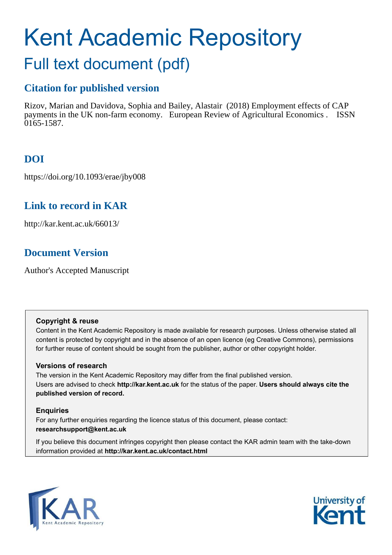# Kent Academic Repository

## Full text document (pdf)

## **Citation for published version**

Rizov, Marian and Davidova, Sophia and Bailey, Alastair (2018) Employment effects of CAP payments in the UK non-farm economy. European Review of Agricultural Economics . ISSN  $0165 - 1587$ .

## **DOI**

https://doi.org/10.1093/erae/jby008

## **Link to record in KAR**

http://kar.kent.ac.uk/66013/

## **Document Version**

Author's Accepted Manuscript

#### **Copyright & reuse**

Content in the Kent Academic Repository is made available for research purposes. Unless otherwise stated all content is protected by copyright and in the absence of an open licence (eg Creative Commons), permissions for further reuse of content should be sought from the publisher, author or other copyright holder.

#### **Versions of research**

The version in the Kent Academic Repository may differ from the final published version. Users are advised to check **http://kar.kent.ac.uk** for the status of the paper. **Users should always cite the published version of record.**

#### **Enquiries**

For any further enquiries regarding the licence status of this document, please contact: **researchsupport@kent.ac.uk**

If you believe this document infringes copyright then please contact the KAR admin team with the take-down information provided at **http://kar.kent.ac.uk/contact.html**



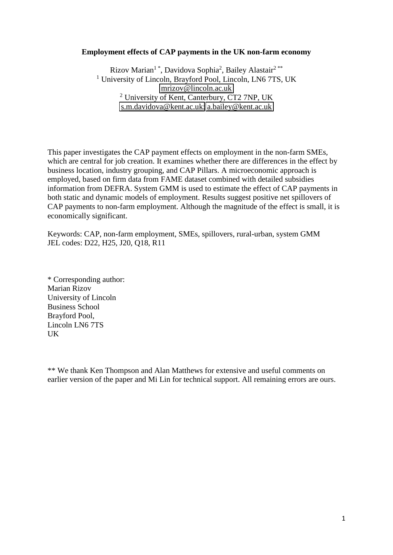#### **Employment effects of CAP payments in the UK non-farm economy**

Rizov Marian<sup>1</sup>\*, Davidova Sophia<sup>2</sup>, Bailey Alastair<sup>2\*\*</sup> <sup>1</sup> University of Lincoln, Brayford Pool, Lincoln, LN6 7TS, UK [mrizov@lincoln.ac.uk](mailto:mrizov@lincoln.ac.uk)  <sup>2</sup> University of Kent, Canterbury, CT2 7NP, UK [s.m.davidova@kent.ac.uk;](mailto:s.m.davidova@kent.ac.uk) [a.bailey@kent.ac.uk](mailto:a.bailey@kent.ac.uk) 

This paper investigates the CAP payment effects on employment in the non-farm SMEs, which are central for job creation. It examines whether there are differences in the effect by business location, industry grouping, and CAP Pillars. A microeconomic approach is employed, based on firm data from FAME dataset combined with detailed subsidies information from DEFRA. System GMM is used to estimate the effect of CAP payments in both static and dynamic models of employment. Results suggest positive net spillovers of CAP payments to non-farm employment. Although the magnitude of the effect is small, it is economically significant.

Keywords: CAP, non-farm employment, SMEs, spillovers, rural-urban, system GMM JEL codes: D22, H25, J20, Q18, R11

\* Corresponding author: Marian Rizov University of Lincoln Business School Brayford Pool, Lincoln LN6 7TS UK

\*\* We thank Ken Thompson and Alan Matthews for extensive and useful comments on earlier version of the paper and Mi Lin for technical support. All remaining errors are ours.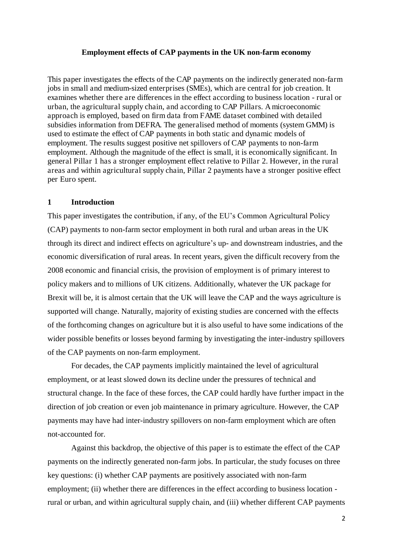#### **Employment effects of CAP payments in the UK non-farm economy**

This paper investigates the effects of the CAP payments on the indirectly generated non-farm jobs in small and medium-sized enterprises (SMEs), which are central for job creation. It examines whether there are differences in the effect according to business location - rural or urban, the agricultural supply chain, and according to CAP Pillars. A microeconomic approach is employed, based on firm data from FAME dataset combined with detailed subsidies information from DEFRA. The generalised method of moments (system GMM) is used to estimate the effect of CAP payments in both static and dynamic models of employment. The results suggest positive net spillovers of CAP payments to non-farm employment. Although the magnitude of the effect is small, it is economically significant. In general Pillar 1 has a stronger employment effect relative to Pillar 2. However, in the rural areas and within agricultural supply chain, Pillar 2 payments have a stronger positive effect per Euro spent.

#### **1 Introduction**

This paper investigates the contribution, if any, of the EU's Common Agricultural Policy (CAP) payments to non-farm sector employment in both rural and urban areas in the UK through its direct and indirect effects on agriculture's up- and downstream industries, and the economic diversification of rural areas. In recent years, given the difficult recovery from the 2008 economic and financial crisis, the provision of employment is of primary interest to policy makers and to millions of UK citizens. Additionally, whatever the UK package for Brexit will be, it is almost certain that the UK will leave the CAP and the ways agriculture is supported will change. Naturally, majority of existing studies are concerned with the effects of the forthcoming changes on agriculture but it is also useful to have some indications of the wider possible benefits or losses beyond farming by investigating the inter-industry spillovers of the CAP payments on non-farm employment.

For decades, the CAP payments implicitly maintained the level of agricultural employment, or at least slowed down its decline under the pressures of technical and structural change. In the face of these forces, the CAP could hardly have further impact in the direction of job creation or even job maintenance in primary agriculture. However, the CAP payments may have had inter-industry spillovers on non-farm employment which are often not-accounted for.

Against this backdrop, the objective of this paper is to estimate the effect of the CAP payments on the indirectly generated non-farm jobs. In particular, the study focuses on three key questions: (i) whether CAP payments are positively associated with non-farm employment; (ii) whether there are differences in the effect according to business location rural or urban, and within agricultural supply chain, and (iii) whether different CAP payments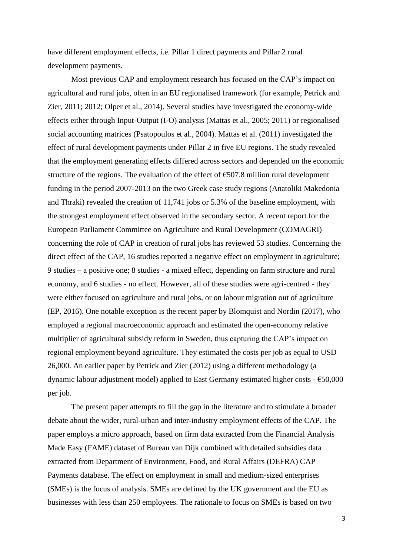have different employment effects, i.e. Pillar 1 direct payments and Pillar 2 rural development payments.

Most previous CAP and employment research has focused on the CAP's impact on agricultural and rural jobs, often in an EU regionalised framework (for example, Petrick and Zier, 2011; 2012; Olper et al., 2014). Several studies have investigated the economy-wide effects either through Input-Output (I-O) analysis (Mattas et al., 2005; 2011) or regionalised social accounting matrices (Psatopoulos et al., 2004). Mattas et al. (2011) investigated the effect of rural development payments under Pillar 2 in five EU regions. The study revealed that the employment generating effects differed across sectors and depended on the economic structure of the regions. The evaluation of the effect of  $\epsilon$ 507.8 million rural development funding in the period 2007-2013 on the two Greek case study regions (Anatoliki Makedonia and Thraki) revealed the creation of 11,741 jobs or 5.3% of the baseline employment, with the strongest employment effect observed in the secondary sector. A recent report for the European Parliament Committee on Agriculture and Rural Development (COMAGRI) concerning the role of CAP in creation of rural jobs has reviewed 53 studies. Concerning the direct effect of the CAP, 16 studies reported a negative effect on employment in agriculture; 9 studies – a positive one; 8 studies - a mixed effect, depending on farm structure and rural economy, and 6 studies - no effect. However, all of these studies were agri-centred - they were either focused on agriculture and rural jobs, or on labour migration out of agriculture (EP, 2016). One notable exception is the recent paper by Blomquist and Nordin (2017), who employed a regional macroeconomic approach and estimated the open-economy relative multiplier of agricultural subsidy reform in Sweden, thus capturing the CAP's impact on regional employment beyond agriculture. They estimated the costs per job as equal to USD 26,000. An earlier paper by Petrick and Zier (2012) using a different methodology (a dynamic labour adjustment model) applied to East Germany estimated higher costs - €50,000 per job.

The present paper attempts to fill the gap in the literature and to stimulate a broader debate about the wider, rural-urban and inter-industry employment effects of the CAP. The paper employs a micro approach, based on firm data extracted from the Financial Analysis Made Easy (FAME) dataset of Bureau van Dijk combined with detailed subsidies data extracted from Department of Environment, Food, and Rural Affairs (DEFRA) CAP Payments database. The effect on employment in small and medium-sized enterprises (SMEs) is the focus of analysis. SMEs are defined by the UK government and the EU as businesses with less than 250 employees. The rationale to focus on SMEs is based on two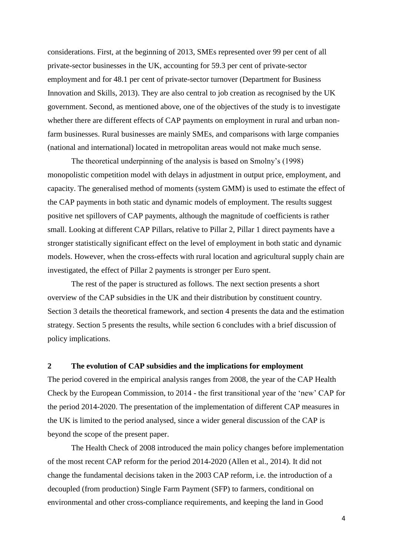considerations. First, at the beginning of 2013, SMEs represented over 99 per cent of all private-sector businesses in the UK, accounting for 59.3 per cent of private-sector employment and for 48.1 per cent of private-sector turnover (Department for Business Innovation and Skills, 2013). They are also central to job creation as recognised by the UK government. Second, as mentioned above, one of the objectives of the study is to investigate whether there are different effects of CAP payments on employment in rural and urban nonfarm businesses. Rural businesses are mainly SMEs, and comparisons with large companies (national and international) located in metropolitan areas would not make much sense.

The theoretical underpinning of the analysis is based on Smolny's (1998) monopolistic competition model with delays in adjustment in output price, employment, and capacity. The generalised method of moments (system GMM) is used to estimate the effect of the CAP payments in both static and dynamic models of employment. The results suggest positive net spillovers of CAP payments, although the magnitude of coefficients is rather small. Looking at different CAP Pillars, relative to Pillar 2, Pillar 1 direct payments have a stronger statistically significant effect on the level of employment in both static and dynamic models. However, when the cross-effects with rural location and agricultural supply chain are investigated, the effect of Pillar 2 payments is stronger per Euro spent.

The rest of the paper is structured as follows. The next section presents a short overview of the CAP subsidies in the UK and their distribution by constituent country. Section 3 details the theoretical framework, and section 4 presents the data and the estimation strategy. Section 5 presents the results, while section 6 concludes with a brief discussion of policy implications.

#### **2 The evolution of CAP subsidies and the implications for employment**

The period covered in the empirical analysis ranges from 2008, the year of the CAP Health Check by the European Commission, to 2014 - the first transitional year of the 'new' CAP for the period 2014-2020. The presentation of the implementation of different CAP measures in the UK is limited to the period analysed, since a wider general discussion of the CAP is beyond the scope of the present paper.

The Health Check of 2008 introduced the main policy changes before implementation of the most recent CAP reform for the period 2014-2020 (Allen et al., 2014). It did not change the fundamental decisions taken in the 2003 CAP reform, i.e. the introduction of a decoupled (from production) Single Farm Payment (SFP) to farmers, conditional on environmental and other cross-compliance requirements, and keeping the land in Good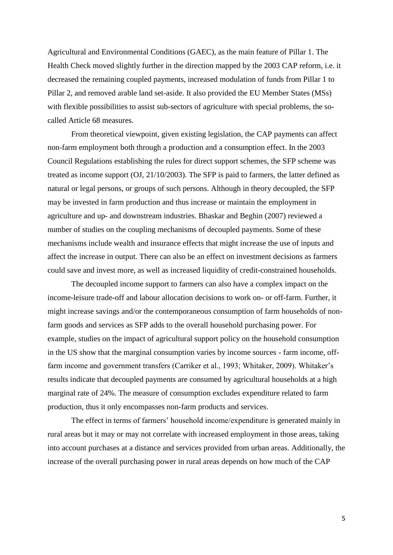Agricultural and Environmental Conditions (GAEC), as the main feature of Pillar 1. The Health Check moved slightly further in the direction mapped by the 2003 CAP reform, i.e. it decreased the remaining coupled payments, increased modulation of funds from Pillar 1 to Pillar 2, and removed arable land set-aside. It also provided the EU Member States (MSs) with flexible possibilities to assist sub-sectors of agriculture with special problems, the socalled Article 68 measures.

From theoretical viewpoint, given existing legislation, the CAP payments can affect non-farm employment both through a production and a consumption effect. In the 2003 Council Regulations establishing the rules for direct support schemes, the SFP scheme was treated as income support (OJ, 21/10/2003). The SFP is paid to farmers, the latter defined as natural or legal persons, or groups of such persons. Although in theory decoupled, the SFP may be invested in farm production and thus increase or maintain the employment in agriculture and up- and downstream industries. Bhaskar and Beghin (2007) reviewed a number of studies on the coupling mechanisms of decoupled payments. Some of these mechanisms include wealth and insurance effects that might increase the use of inputs and affect the increase in output. There can also be an effect on investment decisions as farmers could save and invest more, as well as increased liquidity of credit-constrained households.

The decoupled income support to farmers can also have a complex impact on the income-leisure trade-off and labour allocation decisions to work on- or off-farm. Further, it might increase savings and/or the contemporaneous consumption of farm households of nonfarm goods and services as SFP adds to the overall household purchasing power. For example, studies on the impact of agricultural support policy on the household consumption in the US show that the marginal consumption varies by income sources - farm income, offfarm income and government transfers (Carriker et al., 1993; Whitaker, 2009). Whitaker's results indicate that decoupled payments are consumed by agricultural households at a high marginal rate of 24%. The measure of consumption excludes expenditure related to farm production, thus it only encompasses non-farm products and services.

The effect in terms of farmers' household income/expenditure is generated mainly in rural areas but it may or may not correlate with increased employment in those areas, taking into account purchases at a distance and services provided from urban areas. Additionally, the increase of the overall purchasing power in rural areas depends on how much of the CAP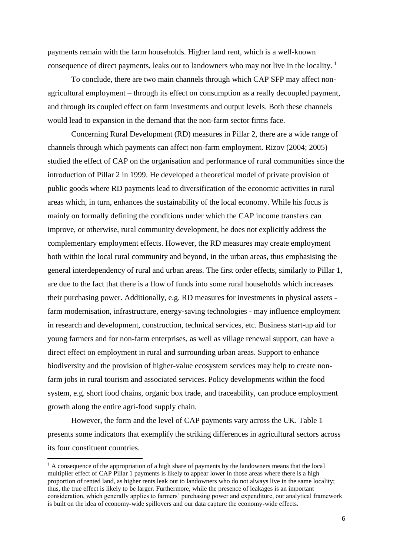payments remain with the farm households. Higher land rent, which is a well-known consequence of direct payments, leaks out to landowners who may not live in the locality. <sup>1</sup>

To conclude, there are two main channels through which CAP SFP may affect nonagricultural employment – through its effect on consumption as a really decoupled payment, and through its coupled effect on farm investments and output levels. Both these channels would lead to expansion in the demand that the non-farm sector firms face.

Concerning Rural Development (RD) measures in Pillar 2, there are a wide range of channels through which payments can affect non-farm employment. Rizov (2004; 2005) studied the effect of CAP on the organisation and performance of rural communities since the introduction of Pillar 2 in 1999. He developed a theoretical model of private provision of public goods where RD payments lead to diversification of the economic activities in rural areas which, in turn, enhances the sustainability of the local economy. While his focus is mainly on formally defining the conditions under which the CAP income transfers can improve, or otherwise, rural community development, he does not explicitly address the complementary employment effects. However, the RD measures may create employment both within the local rural community and beyond, in the urban areas, thus emphasising the general interdependency of rural and urban areas. The first order effects, similarly to Pillar 1, are due to the fact that there is a flow of funds into some rural households which increases their purchasing power. Additionally, e.g. RD measures for investments in physical assets farm modernisation, infrastructure, energy-saving technologies - may influence employment in research and development, construction, technical services, etc. Business start-up aid for young farmers and for non-farm enterprises, as well as village renewal support, can have a direct effect on employment in rural and surrounding urban areas. Support to enhance biodiversity and the provision of higher-value ecosystem services may help to create nonfarm jobs in rural tourism and associated services. Policy developments within the food system, e.g. short food chains, organic box trade, and traceability, can produce employment growth along the entire agri-food supply chain.

However, the form and the level of CAP payments vary across the UK. Table 1 presents some indicators that exemplify the striking differences in agricultural sectors across its four constituent countries.

 $\overline{a}$ 

 $<sup>1</sup>$  A consequence of the appropriation of a high share of payments by the landowners means that the local</sup> multiplier effect of CAP Pillar 1 payments is likely to appear lower in those areas where there is a high proportion of rented land, as higher rents leak out to landowners who do not always live in the same locality; thus, the true effect is likely to be larger. Furthermore, while the presence of leakages is an important consideration, which generally applies to farmers' purchasing power and expenditure, our analytical framework is built on the idea of economy-wide spillovers and our data capture the economy-wide effects.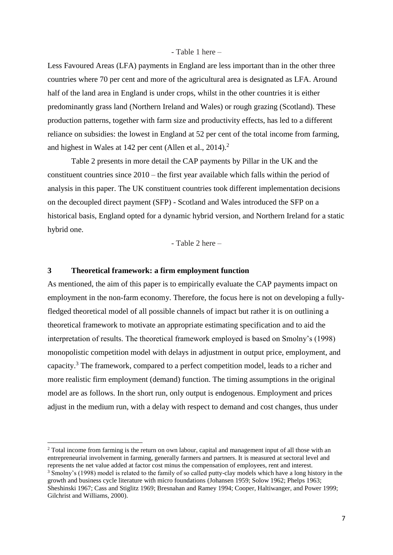#### - Table 1 here –

Less Favoured Areas (LFA) payments in England are less important than in the other three countries where 70 per cent and more of the agricultural area is designated as LFA. Around half of the land area in England is under crops, whilst in the other countries it is either predominantly grass land (Northern Ireland and Wales) or rough grazing (Scotland). These production patterns, together with farm size and productivity effects, has led to a different reliance on subsidies: the lowest in England at 52 per cent of the total income from farming, and highest in Wales at 142 per cent (Allen et al., 2014).<sup>2</sup>

Table 2 presents in more detail the CAP payments by Pillar in the UK and the constituent countries since 2010 – the first year available which falls within the period of analysis in this paper. The UK constituent countries took different implementation decisions on the decoupled direct payment (SFP) - Scotland and Wales introduced the SFP on a historical basis, England opted for a dynamic hybrid version, and Northern Ireland for a static hybrid one.

- Table 2 here –

#### **3 Theoretical framework: a firm employment function**

 $\overline{a}$ 

As mentioned, the aim of this paper is to empirically evaluate the CAP payments impact on employment in the non-farm economy. Therefore, the focus here is not on developing a fullyfledged theoretical model of all possible channels of impact but rather it is on outlining a theoretical framework to motivate an appropriate estimating specification and to aid the interpretation of results. The theoretical framework employed is based on Smolny's (1998) monopolistic competition model with delays in adjustment in output price, employment, and capacity.<sup>3</sup> The framework, compared to a perfect competition model, leads to a richer and more realistic firm employment (demand) function. The timing assumptions in the original model are as follows. In the short run, only output is endogenous. Employment and prices adjust in the medium run, with a delay with respect to demand and cost changes, thus under

<sup>&</sup>lt;sup>2</sup> Total income from farming is the return on own labour, capital and management input of all those with an entrepreneurial involvement in farming, generally farmers and partners. It is measured at sectoral level and represents the net value added at factor cost minus the compensation of employees, rent and interest.

<sup>&</sup>lt;sup>3</sup> Smolny's (1998) model is related to the family of so called putty-clay models which have a long history in the growth and business cycle literature with micro foundations (Johansen 1959; Solow 1962; Phelps 1963; Sheshinski 1967; Cass and Stiglitz 1969; Bresnahan and Ramey 1994; Cooper, Haltiwanger, and Power 1999; Gilchrist and Williams, 2000).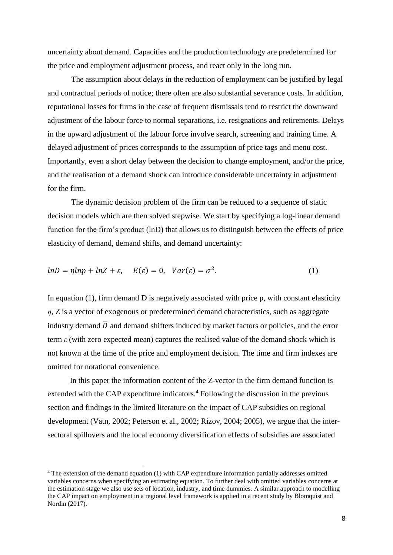uncertainty about demand. Capacities and the production technology are predetermined for the price and employment adjustment process, and react only in the long run.

The assumption about delays in the reduction of employment can be justified by legal and contractual periods of notice; there often are also substantial severance costs. In addition, reputational losses for firms in the case of frequent dismissals tend to restrict the downward adjustment of the labour force to normal separations, i.e. resignations and retirements. Delays in the upward adjustment of the labour force involve search, screening and training time. A delayed adjustment of prices corresponds to the assumption of price tags and menu cost. Importantly, even a short delay between the decision to change employment, and/or the price, and the realisation of a demand shock can introduce considerable uncertainty in adjustment for the firm.

The dynamic decision problem of the firm can be reduced to a sequence of static decision models which are then solved stepwise. We start by specifying a log-linear demand function for the firm's product (lnD) that allows us to distinguish between the effects of price elasticity of demand, demand shifts, and demand uncertainty:

$$
lnD = \eta lnp + lnZ + \varepsilon, \quad E(\varepsilon) = 0, \quad Var(\varepsilon) = \sigma^2. \tag{1}
$$

In equation  $(1)$ , firm demand D is negatively associated with price p, with constant elasticity  $\eta$ ,  $\chi$  is a vector of exogenous or predetermined demand characteristics, such as aggregate industry demand  $\overline{D}$  and demand shifters induced by market factors or policies, and the error term  $\epsilon$  (with zero expected mean) captures the realised value of the demand shock which is not known at the time of the price and employment decision. The time and firm indexes are omitted for notational convenience.

In this paper the information content of the Z-vector in the firm demand function is extended with the CAP expenditure indicators.<sup>4</sup> Following the discussion in the previous section and findings in the limited literature on the impact of CAP subsidies on regional development (Vatn, 2002; Peterson et al., 2002; Rizov, 2004; 2005), we argue that the intersectoral spillovers and the local economy diversification effects of subsidies are associated

 $\overline{a}$ 

<sup>4</sup> The extension of the demand equation (1) with CAP expenditure information partially addresses omitted variables concerns when specifying an estimating equation. To further deal with omitted variables concerns at the estimation stage we also use sets of location, industry, and time dummies. A similar approach to modelling the CAP impact on employment in a regional level framework is applied in a recent study by Blomquist and Nordin (2017).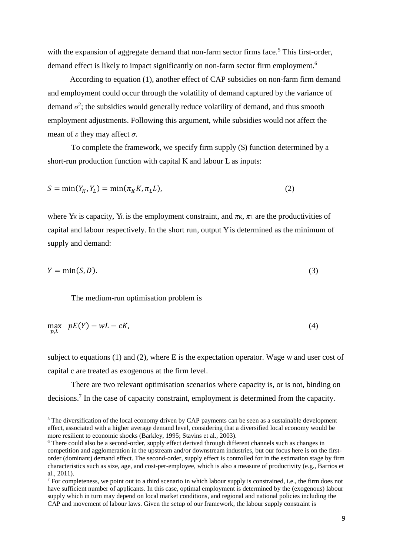with the expansion of aggregate demand that non-farm sector firms face.<sup>5</sup> This first-order, demand effect is likely to impact significantly on non-farm sector firm employment.<sup>6</sup>

According to equation (1), another effect of CAP subsidies on non-farm firm demand and employment could occur through the volatility of demand captured by the variance of demand  $\sigma^2$ ; the subsidies would generally reduce volatility of demand, and thus smooth employment adjustments. Following this argument, while subsidies would not affect the mean of  $\varepsilon$  they may affect  $\sigma$ .

To complete the framework, we specify firm supply (S) function determined by a short-run production function with capital K and labour L as inputs:

$$
S = \min(Y_K, Y_L) = \min(\pi_K K, \pi_L L),\tag{2}
$$

where  $Y_K$  is capacity,  $Y_L$  is the employment constraint, and  $\pi_K$ ,  $\pi_L$  are the productivities of capital and labour respectively. In the short run, output Y is determined as the minimum of supply and demand:

$$
Y = \min(S, D). \tag{3}
$$

The medium-run optimisation problem is

 $\overline{a}$ 

$$
\max_{p,L} \quad pE(Y) - wL - cK,\tag{4}
$$

subject to equations (1) and (2), where E is the expectation operator. Wage w and user cost of capital c are treated as exogenous at the firm level.

There are two relevant optimisation scenarios where capacity is, or is not, binding on decisions.<sup>7</sup> In the case of capacity constraint, employment is determined from the capacity.

<sup>&</sup>lt;sup>5</sup> The diversification of the local economy driven by CAP payments can be seen as a sustainable development effect, associated with a higher average demand level, considering that a diversified local economy would be more resilient to economic shocks (Barkley, 1995; Stavins et al., 2003).

<sup>&</sup>lt;sup>6</sup> There could also be a second-order, supply effect derived through different channels such as changes in competition and agglomeration in the upstream and/or downstream industries, but our focus here is on the firstorder (dominant) demand effect. The second-order, supply effect is controlled for in the estimation stage by firm characteristics such as size, age, and cost-per-employee, which is also a measure of productivity (e.g., Barrios et al., 2011).

 $<sup>7</sup>$  For completeness, we point out to a third scenario in which labour supply is constrained, i.e., the firm does not</sup> have sufficient number of applicants. In this case, optimal employment is determined by the (exogenous) labour supply which in turn may depend on local market conditions, and regional and national policies including the CAP and movement of labour laws. Given the setup of our framework, the labour supply constraint is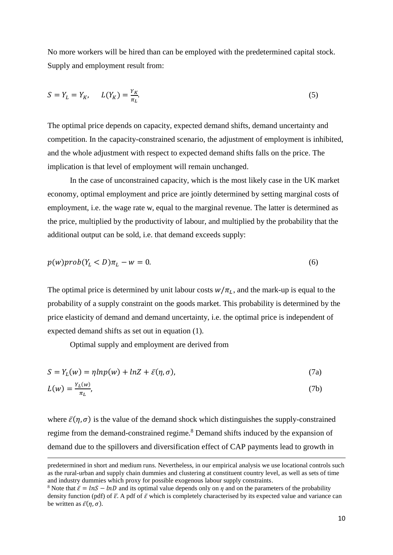No more workers will be hired than can be employed with the predetermined capital stock. Supply and employment result from:

$$
S = Y_L = Y_K, \qquad L(Y_K) = \frac{Y_K}{\pi_L}.\tag{5}
$$

The optimal price depends on capacity, expected demand shifts, demand uncertainty and competition. In the capacity-constrained scenario, the adjustment of employment is inhibited, and the whole adjustment with respect to expected demand shifts falls on the price. The implication is that level of employment will remain unchanged.

In the case of unconstrained capacity, which is the most likely case in the UK market economy, optimal employment and price are jointly determined by setting marginal costs of employment, i.e. the wage rate w, equal to the marginal revenue. The latter is determined as the price, multiplied by the productivity of labour, and multiplied by the probability that the additional output can be sold, i.e. that demand exceeds supply:

$$
p(w)prob(Y_L < D)\pi_L - w = 0. \tag{6}
$$

The optimal price is determined by unit labour costs  $w/\pi_L$ , and the mark-up is equal to the probability of a supply constraint on the goods market. This probability is determined by the price elasticity of demand and demand uncertainty, i.e. the optimal price is independent of expected demand shifts as set out in equation (1).

Optimal supply and employment are derived from

 $\overline{a}$ 

$$
S = Y_L(w) = \eta \ln p(w) + \ln Z + \bar{\varepsilon}(\eta, \sigma), \tag{7a}
$$

$$
L(w) = \frac{Y_L(w)}{\pi_L},\tag{7b}
$$

where  $\bar{\varepsilon}(\eta, \sigma)$  is the value of the demand shock which distinguishes the supply-constrained regime from the demand-constrained regime.<sup>8</sup> Demand shifts induced by the expansion of demand due to the spillovers and diversification effect of CAP payments lead to growth in

predetermined in short and medium runs. Nevertheless, in our empirical analysis we use locational controls such as the rural-urban and supply chain dummies and clustering at constituent country level, as well as sets of time and industry dummies which proxy for possible exogenous labour supply constraints.

<sup>&</sup>lt;sup>8</sup> Note that  $\bar{\varepsilon} = \ln S - \ln D$  and its optimal value depends only on  $\eta$  and on the parameters of the probability density function (pdf) of  $\bar{\varepsilon}$ . A pdf of  $\bar{\varepsilon}$  which is completely characterised by its expected value and variance can be written as  $\bar{\varepsilon}(\eta, \sigma)$ .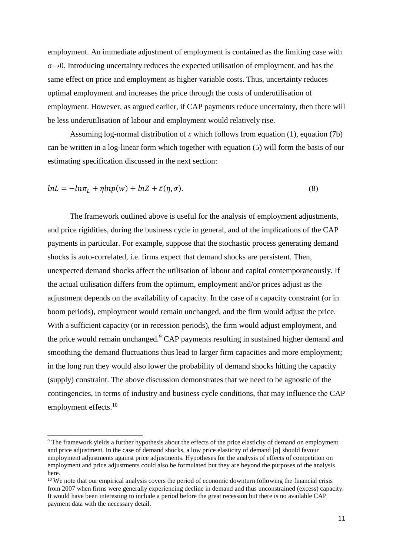employment. An immediate adjustment of employment is contained as the limiting case with  $\sigma \rightarrow 0$ . Introducing uncertainty reduces the expected utilisation of employment, and has the same effect on price and employment as higher variable costs. Thus, uncertainty reduces optimal employment and increases the price through the costs of underutilisation of employment. However, as argued earlier, if CAP payments reduce uncertainty, then there will be less underutilisation of labour and employment would relatively rise.

Assuming log-normal distribution of  $\varepsilon$  which follows from equation (1), equation (7b) can be written in a log-linear form which together with equation (5) will form the basis of our estimating specification discussed in the next section:

$$
lnL = -ln\pi_L + \eta lnp(w) + lnZ + \bar{\varepsilon}(\eta, \sigma).
$$
\n(8)

The framework outlined above is useful for the analysis of employment adjustments, and price rigidities, during the business cycle in general, and of the implications of the CAP payments in particular. For example, suppose that the stochastic process generating demand shocks is auto-correlated, i.e. firms expect that demand shocks are persistent. Then, unexpected demand shocks affect the utilisation of labour and capital contemporaneously. If the actual utilisation differs from the optimum, employment and/or prices adjust as the adjustment depends on the availability of capacity. In the case of a capacity constraint (or in boom periods), employment would remain unchanged, and the firm would adjust the price. With a sufficient capacity (or in recession periods), the firm would adjust employment, and the price would remain unchanged.<sup>9</sup> CAP payments resulting in sustained higher demand and smoothing the demand fluctuations thus lead to larger firm capacities and more employment; in the long run they would also lower the probability of demand shocks hitting the capacity (supply) constraint. The above discussion demonstrates that we need to be agnostic of the contingencies, in terms of industry and business cycle conditions, that may influence the CAP employment effects.<sup>10</sup>

 $\overline{a}$ 

<sup>&</sup>lt;sup>9</sup> The framework yields a further hypothesis about the effects of the price elasticity of demand on employment and price adjustment. In the case of demand shocks, a low price elasticity of demand  $|\eta|$  should favour employment adjustments against price adjustments. Hypotheses for the analysis of effects of competition on employment and price adjustments could also be formulated but they are beyond the purposes of the analysis here.

<sup>&</sup>lt;sup>10</sup> We note that our empirical analysis covers the period of economic downturn following the financial crisis from 2007 when firms were generally experiencing decline in demand and thus unconstrained (excess) capacity. It would have been interesting to include a period before the great recession but there is no available CAP payment data with the necessary detail.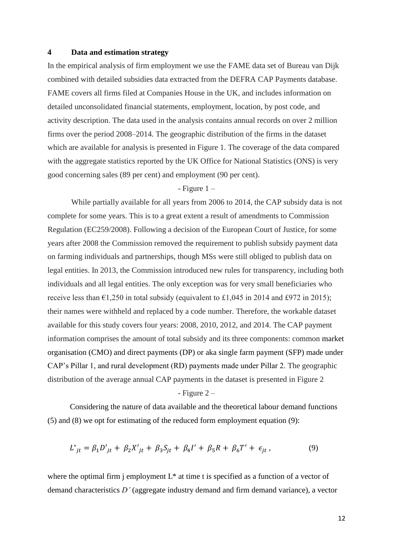#### **4 Data and estimation strategy**

In the empirical analysis of firm employment we use the FAME data set of Bureau van Dijk combined with detailed subsidies data extracted from the DEFRA CAP Payments database. FAME covers all firms filed at Companies House in the UK, and includes information on detailed unconsolidated financial statements, employment, location, by post code, and activity description. The data used in the analysis contains annual records on over 2 million firms over the period 2008–2014. The geographic distribution of the firms in the dataset which are available for analysis is presented in Figure 1. The coverage of the data compared with the aggregate statistics reported by the UK Office for National Statistics (ONS) is very good concerning sales (89 per cent) and employment (90 per cent).

#### $-$  Figure  $1 -$

While partially available for all years from 2006 to 2014, the CAP subsidy data is not complete for some years. This is to a great extent a result of amendments to Commission Regulation (EC259/2008). Following a decision of the European Court of Justice, for some years after 2008 the Commission removed the requirement to publish subsidy payment data on farming individuals and partnerships, though MSs were still obliged to publish data on legal entities. In 2013, the Commission introduced new rules for transparency, including both individuals and all legal entities. The only exception was for very small beneficiaries who receive less than  $\epsilon$ 1,250 in total subsidy (equivalent to £1,045 in 2014 and £972 in 2015); their names were withheld and replaced by a code number. Therefore, the workable dataset available for this study covers four years: 2008, 2010, 2012, and 2014. The CAP payment information comprises the amount of total subsidy and its three components: common market organisation (CMO) and direct payments (DP) or aka single farm payment (SFP) made under CAP's Pillar 1, and rural development (RD) payments made under Pillar 2. The geographic distribution of the average annual CAP payments in the dataset is presented in Figure 2

#### $-$  Figure 2  $-$

Considering the nature of data available and the theoretical labour demand functions (5) and (8) we opt for estimating of the reduced form employment equation (9):

$$
L^*_{jt} = \beta_1 D'_{jt} + \beta_2 X'_{jt} + \beta_3 S_{jt} + \beta_4 I' + \beta_5 R + \beta_6 T' + \epsilon_{jt},
$$
\n(9)

where the optimal firm j employment  $L^*$  at time t is specified as a function of a vector of demand characteristics *D'* (aggregate industry demand and firm demand variance), a vector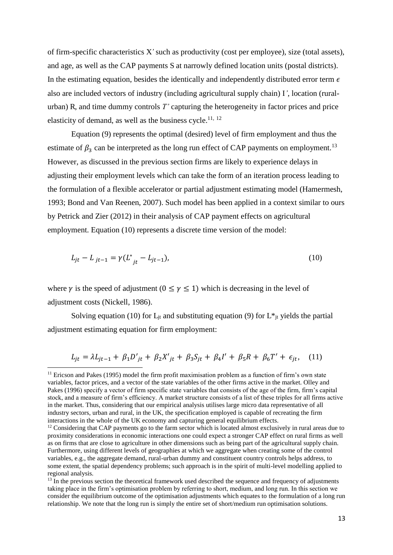of firm-specific characteristics X*'* such as productivity (cost per employee), size (total assets), and age, as well as the CAP payments S at narrowly defined location units (postal districts). In the estimating equation, besides the identically and independently distributed error term  $\epsilon$ also are included vectors of industry (including agricultural supply chain) I*'*, location (ruralurban) R, and time dummy controls *T'* capturing the heterogeneity in factor prices and price elasticity of demand, as well as the business cycle.<sup>11, 12</sup>

Equation (9) represents the optimal (desired) level of firm employment and thus the estimate of  $\beta_3$  can be interpreted as the long run effect of CAP payments on employment.<sup>13</sup> However, as discussed in the previous section firms are likely to experience delays in adjusting their employment levels which can take the form of an iteration process leading to the formulation of a flexible accelerator or partial adjustment estimating model (Hamermesh, 1993; Bond and Van Reenen, 2007). Such model has been applied in a context similar to ours by Petrick and Zier (2012) in their analysis of CAP payment effects on agricultural employment. Equation (10) represents a discrete time version of the model:

$$
L_{jt} - L_{jt-1} = \gamma (L^*_{jt} - L_{jt-1}), \tag{10}
$$

where  $\gamma$  is the speed of adjustment ( $0 \leq \gamma \leq 1$ ) which is decreasing in the level of adjustment costs (Nickell, 1986).

 $\overline{a}$ 

Solving equation (10) for  $L_{it}$  and substituting equation (9) for  $L^*_{it}$  yields the partial adjustment estimating equation for firm employment:

$$
L_{jt} = \lambda L_{jt-1} + \beta_1 D'_{jt} + \beta_2 X'_{jt} + \beta_3 S_{jt} + \beta_4 I' + \beta_5 R + \beta_6 T' + \epsilon_{jt}, \quad (11)
$$

 $11$  Ericson and Pakes (1995) model the firm profit maximisation problem as a function of firm's own state variables, factor prices, and a vector of the state variables of the other firms active in the market. Olley and Pakes (1996) specify a vector of firm specific state variables that consists of the age of the firm, firm's capital stock, and a measure of firm's efficiency. A market structure consists of a list of these triples for all firms active in the market. Thus, considering that our empirical analysis utilises large micro data representative of all industry sectors, urban and rural, in the UK, the specification employed is capable of recreating the firm interactions in the whole of the UK economy and capturing general equilibrium effects.

<sup>&</sup>lt;sup>12</sup> Considering that CAP payments go to the farm sector which is located almost exclusively in rural areas due to proximity considerations in economic interactions one could expect a stronger CAP effect on rural firms as well as on firms that are close to agriculture in other dimensions such as being part of the agricultural supply chain. Furthermore, using different levels of geographies at which we aggregate when creating some of the control variables, e.g., the aggregate demand, rural-urban dummy and constituent country controls helps address, to some extent, the spatial dependency problems; such approach is in the spirit of multi-level modelling applied to regional analysis.

 $13$  In the previous section the theoretical framework used described the sequence and frequency of adjustments taking place in the firm's optimisation problem by referring to short, medium, and long run. In this section we consider the equilibrium outcome of the optimisation adjustments which equates to the formulation of a long run relationship. We note that the long run is simply the entire set of short/medium run optimisation solutions.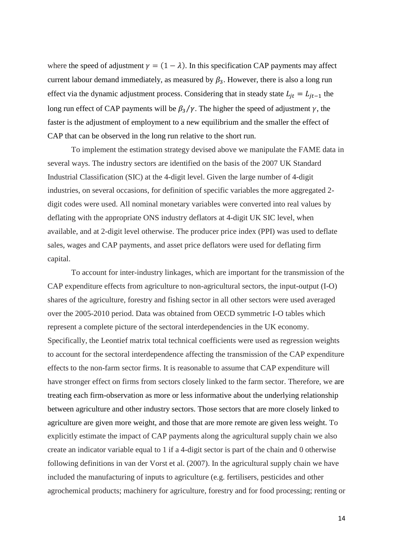where the speed of adjustment  $\gamma = (1 - \lambda)$ . In this specification CAP payments may affect current labour demand immediately, as measured by  $\beta_3$ . However, there is also a long run effect via the dynamic adjustment process. Considering that in steady state  $L_{jt} = L_{jt-1}$  the long run effect of CAP payments will be  $\beta_3/\gamma$ . The higher the speed of adjustment  $\gamma$ , the faster is the adjustment of employment to a new equilibrium and the smaller the effect of CAP that can be observed in the long run relative to the short run.

To implement the estimation strategy devised above we manipulate the FAME data in several ways. The industry sectors are identified on the basis of the 2007 UK Standard Industrial Classification (SIC) at the 4-digit level. Given the large number of 4-digit industries, on several occasions, for definition of specific variables the more aggregated 2 digit codes were used. All nominal monetary variables were converted into real values by deflating with the appropriate ONS industry deflators at 4-digit UK SIC level, when available, and at 2-digit level otherwise. The producer price index (PPI) was used to deflate sales, wages and CAP payments, and asset price deflators were used for deflating firm capital.

To account for inter-industry linkages, which are important for the transmission of the CAP expenditure effects from agriculture to non-agricultural sectors, the input-output (I-O) shares of the agriculture, forestry and fishing sector in all other sectors were used averaged over the 2005-2010 period. Data was obtained from OECD symmetric I-O tables which represent a complete picture of the sectoral interdependencies in the UK economy. Specifically, the Leontief matrix total technical coefficients were used as regression weights to account for the sectoral interdependence affecting the transmission of the CAP expenditure effects to the non-farm sector firms. It is reasonable to assume that CAP expenditure will have stronger effect on firms from sectors closely linked to the farm sector. Therefore, we are treating each firm-observation as more or less informative about the underlying relationship between agriculture and other industry sectors. Those sectors that are more closely linked to agriculture are given more weight, and those that are more remote are given less weight. To explicitly estimate the impact of CAP payments along the agricultural supply chain we also create an indicator variable equal to 1 if a 4-digit sector is part of the chain and 0 otherwise following definitions in van der Vorst et al. (2007). In the agricultural supply chain we have included the manufacturing of inputs to agriculture (e.g. fertilisers, pesticides and other agrochemical products; machinery for agriculture, forestry and for food processing; renting or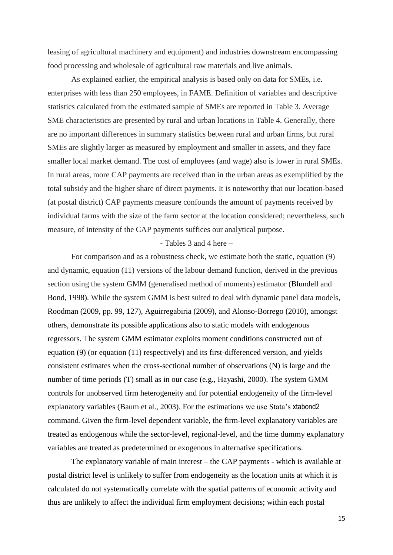leasing of agricultural machinery and equipment) and industries downstream encompassing food processing and wholesale of agricultural raw materials and live animals.

As explained earlier, the empirical analysis is based only on data for SMEs, i.e. enterprises with less than 250 employees, in FAME. Definition of variables and descriptive statistics calculated from the estimated sample of SMEs are reported in Table 3. Average SME characteristics are presented by rural and urban locations in Table 4. Generally, there are no important differences in summary statistics between rural and urban firms, but rural SMEs are slightly larger as measured by employment and smaller in assets, and they face smaller local market demand. The cost of employees (and wage) also is lower in rural SMEs. In rural areas, more CAP payments are received than in the urban areas as exemplified by the total subsidy and the higher share of direct payments. It is noteworthy that our location-based (at postal district) CAP payments measure confounds the amount of payments received by individual farms with the size of the farm sector at the location considered; nevertheless, such measure, of intensity of the CAP payments suffices our analytical purpose.

#### - Tables 3 and 4 here –

For comparison and as a robustness check, we estimate both the static, equation (9) and dynamic, equation (11) versions of the labour demand function, derived in the previous section using the system GMM (generalised method of moments) estimator (Blundell and Bond, 1998). While the system GMM is best suited to deal with dynamic panel data models, Roodman (2009, pp. 99, 127), Aguirregabiria (2009), and Alonso-Borrego (2010), amongst others, demonstrate its possible applications also to static models with endogenous regressors. The system GMM estimator exploits moment conditions constructed out of equation (9) (or equation (11) respectively) and its first-differenced version, and yields consistent estimates when the cross-sectional number of observations (N) is large and the number of time periods (T) small as in our case (e.g., Hayashi, 2000). The system GMM controls for unobserved firm heterogeneity and for potential endogeneity of the firm-level explanatory variables (Baum et al., 2003). For the estimations we use Stata's xtabond2 command. Given the firm-level dependent variable, the firm-level explanatory variables are treated as endogenous while the sector-level, regional-level, and the time dummy explanatory variables are treated as predetermined or exogenous in alternative specifications.

The explanatory variable of main interest – the CAP payments - which is available at postal district level is unlikely to suffer from endogeneity as the location units at which it is calculated do not systematically correlate with the spatial patterns of economic activity and thus are unlikely to affect the individual firm employment decisions; within each postal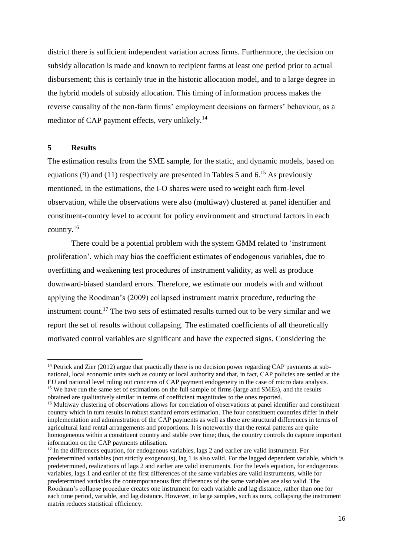district there is sufficient independent variation across firms. Furthermore, the decision on subsidy allocation is made and known to recipient farms at least one period prior to actual disbursement; this is certainly true in the historic allocation model, and to a large degree in the hybrid models of subsidy allocation. This timing of information process makes the reverse causality of the non-farm firms' employment decisions on farmers' behaviour, as a mediator of CAP payment effects, very unlikely.<sup>14</sup>

#### **5 Results**

 $\overline{a}$ 

The estimation results from the SME sample, for the static, and dynamic models, based on equations (9) and (11) respectively are presented in Tables 5 and  $6<sup>15</sup>$  As previously mentioned, in the estimations, the I-O shares were used to weight each firm-level observation, while the observations were also (multiway) clustered at panel identifier and constituent-country level to account for policy environment and structural factors in each country. $^{16}$ 

There could be a potential problem with the system GMM related to 'instrument proliferation', which may bias the coefficient estimates of endogenous variables, due to overfitting and weakening test procedures of instrument validity, as well as produce downward-biased standard errors. Therefore, we estimate our models with and without applying the Roodman's (2009) collapsed instrument matrix procedure, reducing the instrument count.<sup>17</sup> The two sets of estimated results turned out to be very similar and we report the set of results without collapsing. The estimated coefficients of all theoretically motivated control variables are significant and have the expected signs. Considering the

<sup>&</sup>lt;sup>14</sup> Petrick and Zier (2012) argue that practically there is no decision power regarding CAP payments at subnational, local economic units such as county or local authority and that, in fact, CAP policies are settled at the EU and national level ruling out concerns of CAP payment endogeneity in the case of micro data analysis. <sup>15</sup> We have run the same set of estimations on the full sample of firms (large and SMEs), and the results obtained are qualitatively similar in terms of coefficient magnitudes to the ones reported.

<sup>&</sup>lt;sup>16</sup> Multiway clustering of observations allows for correlation of observations at panel identifier and constituent country which in turn results in robust standard errors estimation. The four constituent countries differ in their implementation and administration of the CAP payments as well as there are structural differences in terms of agricultural land rental arrangements and proportions. It is noteworthy that the rental patterns are quite homogeneous within a constituent country and stable over time; thus, the country controls do capture important information on the CAP payments utilisation.

<sup>&</sup>lt;sup>17</sup> In the differences equation, for endogenous variables, lags 2 and earlier are valid instrument. For predetermined variables (not strictly exogenous), lag 1 is also valid. For the lagged dependent variable, which is predetermined, realizations of lags 2 and earlier are valid instruments. For the levels equation, for endogenous variables, lags 1 and earlier of the first differences of the same variables are valid instruments, while for predetermined variables the contemporaneous first differences of the same variables are also valid. The Roodman's collapse procedure creates one instrument for each variable and lag distance, rather than one for each time period, variable, and lag distance. However, in large samples, such as ours, collapsing the instrument matrix reduces statistical efficiency.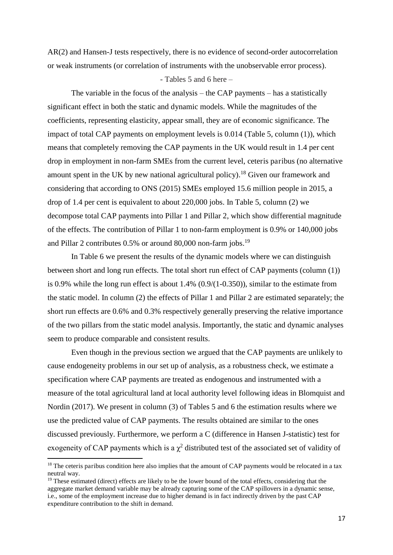AR(2) and Hansen-J tests respectively, there is no evidence of second-order autocorrelation or weak instruments (or correlation of instruments with the unobservable error process).

#### - Tables 5 and 6 here –

The variable in the focus of the analysis – the CAP payments – has a statistically significant effect in both the static and dynamic models. While the magnitudes of the coefficients, representing elasticity, appear small, they are of economic significance. The impact of total CAP payments on employment levels is 0.014 (Table 5, column (1)), which means that completely removing the CAP payments in the UK would result in 1.4 per cent drop in employment in non-farm SMEs from the current level, ceteris paribus (no alternative amount spent in the UK by new national agricultural policy).<sup>18</sup> Given our framework and considering that according to ONS (2015) SMEs employed 15.6 million people in 2015, a drop of 1.4 per cent is equivalent to about 220,000 jobs. In Table 5, column (2) we decompose total CAP payments into Pillar 1 and Pillar 2, which show differential magnitude of the effects. The contribution of Pillar 1 to non-farm employment is 0.9% or 140,000 jobs and Pillar 2 contributes 0.5% or around 80,000 non-farm jobs.<sup>19</sup>

In Table 6 we present the results of the dynamic models where we can distinguish between short and long run effects. The total short run effect of CAP payments (column (1)) is 0.9% while the long run effect is about 1.4% (0.9/(1-0.350)), similar to the estimate from the static model. In column (2) the effects of Pillar 1 and Pillar 2 are estimated separately; the short run effects are 0.6% and 0.3% respectively generally preserving the relative importance of the two pillars from the static model analysis. Importantly, the static and dynamic analyses seem to produce comparable and consistent results.

Even though in the previous section we argued that the CAP payments are unlikely to cause endogeneity problems in our set up of analysis, as a robustness check, we estimate a specification where CAP payments are treated as endogenous and instrumented with a measure of the total agricultural land at local authority level following ideas in Blomquist and Nordin (2017). We present in column (3) of Tables 5 and 6 the estimation results where we use the predicted value of CAP payments. The results obtained are similar to the ones discussed previously. Furthermore, we perform a C (difference in Hansen J-statistic) test for exogeneity of CAP payments which is a  $\chi^2$  distributed test of the associated set of validity of

 $\overline{a}$ 

<sup>&</sup>lt;sup>18</sup> The ceteris paribus condition here also implies that the amount of CAP payments would be relocated in a tax neutral way.

<sup>&</sup>lt;sup>19</sup> These estimated (direct) effects are likely to be the lower bound of the total effects, considering that the aggregate market demand variable may be already capturing some of the CAP spillovers in a dynamic sense, i.e., some of the employment increase due to higher demand is in fact indirectly driven by the past CAP expenditure contribution to the shift in demand.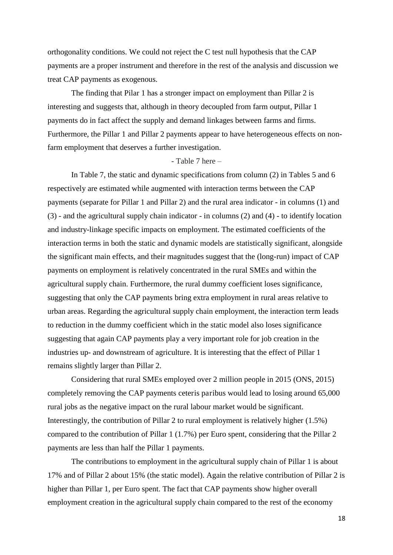orthogonality conditions. We could not reject the C test null hypothesis that the CAP payments are a proper instrument and therefore in the rest of the analysis and discussion we treat CAP payments as exogenous.

The finding that Pilar 1 has a stronger impact on employment than Pillar 2 is interesting and suggests that, although in theory decoupled from farm output, Pillar 1 payments do in fact affect the supply and demand linkages between farms and firms. Furthermore, the Pillar 1 and Pillar 2 payments appear to have heterogeneous effects on nonfarm employment that deserves a further investigation.

#### - Table 7 here –

In Table 7, the static and dynamic specifications from column (2) in Tables 5 and 6 respectively are estimated while augmented with interaction terms between the CAP payments (separate for Pillar 1 and Pillar 2) and the rural area indicator - in columns (1) and (3) - and the agricultural supply chain indicator - in columns (2) and (4) - to identify location and industry-linkage specific impacts on employment. The estimated coefficients of the interaction terms in both the static and dynamic models are statistically significant, alongside the significant main effects, and their magnitudes suggest that the (long-run) impact of CAP payments on employment is relatively concentrated in the rural SMEs and within the agricultural supply chain. Furthermore, the rural dummy coefficient loses significance, suggesting that only the CAP payments bring extra employment in rural areas relative to urban areas. Regarding the agricultural supply chain employment, the interaction term leads to reduction in the dummy coefficient which in the static model also loses significance suggesting that again CAP payments play a very important role for job creation in the industries up- and downstream of agriculture. It is interesting that the effect of Pillar 1 remains slightly larger than Pillar 2.

Considering that rural SMEs employed over 2 million people in 2015 (ONS, 2015) completely removing the CAP payments ceteris paribus would lead to losing around 65,000 rural jobs as the negative impact on the rural labour market would be significant. Interestingly, the contribution of Pillar 2 to rural employment is relatively higher (1.5%) compared to the contribution of Pillar 1 (1.7%) per Euro spent, considering that the Pillar 2 payments are less than half the Pillar 1 payments.

The contributions to employment in the agricultural supply chain of Pillar 1 is about 17% and of Pillar 2 about 15% (the static model). Again the relative contribution of Pillar 2 is higher than Pillar 1, per Euro spent. The fact that CAP payments show higher overall employment creation in the agricultural supply chain compared to the rest of the economy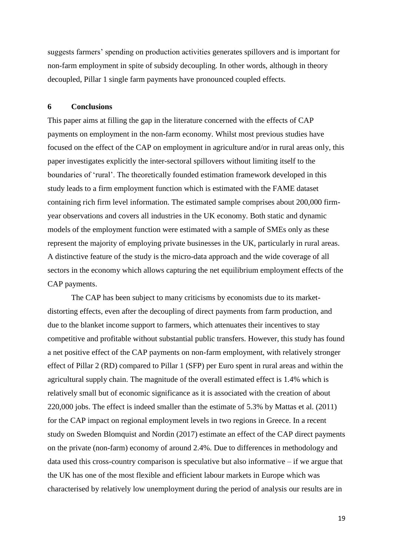suggests farmers' spending on production activities generates spillovers and is important for non-farm employment in spite of subsidy decoupling. In other words, although in theory decoupled, Pillar 1 single farm payments have pronounced coupled effects.

#### **6 Conclusions**

This paper aims at filling the gap in the literature concerned with the effects of CAP payments on employment in the non-farm economy. Whilst most previous studies have focused on the effect of the CAP on employment in agriculture and/or in rural areas only, this paper investigates explicitly the inter-sectoral spillovers without limiting itself to the boundaries of 'rural'. The theoretically founded estimation framework developed in this study leads to a firm employment function which is estimated with the FAME dataset containing rich firm level information. The estimated sample comprises about 200,000 firmyear observations and covers all industries in the UK economy. Both static and dynamic models of the employment function were estimated with a sample of SMEs only as these represent the majority of employing private businesses in the UK, particularly in rural areas. A distinctive feature of the study is the micro-data approach and the wide coverage of all sectors in the economy which allows capturing the net equilibrium employment effects of the CAP payments.

The CAP has been subject to many criticisms by economists due to its marketdistorting effects, even after the decoupling of direct payments from farm production, and due to the blanket income support to farmers, which attenuates their incentives to stay competitive and profitable without substantial public transfers. However, this study has found a net positive effect of the CAP payments on non-farm employment, with relatively stronger effect of Pillar 2 (RD) compared to Pillar 1 (SFP) per Euro spent in rural areas and within the agricultural supply chain. The magnitude of the overall estimated effect is 1.4% which is relatively small but of economic significance as it is associated with the creation of about 220,000 jobs. The effect is indeed smaller than the estimate of 5.3% by Mattas et al. (2011) for the CAP impact on regional employment levels in two regions in Greece. In a recent study on Sweden Blomquist and Nordin (2017) estimate an effect of the CAP direct payments on the private (non-farm) economy of around 2.4%. Due to differences in methodology and data used this cross-country comparison is speculative but also informative – if we argue that the UK has one of the most flexible and efficient labour markets in Europe which was characterised by relatively low unemployment during the period of analysis our results are in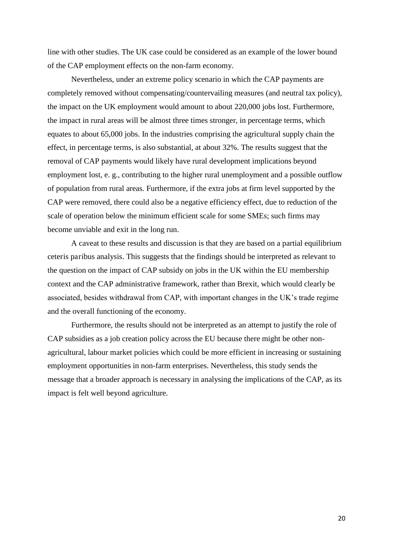line with other studies. The UK case could be considered as an example of the lower bound of the CAP employment effects on the non-farm economy.

Nevertheless, under an extreme policy scenario in which the CAP payments are completely removed without compensating/countervailing measures (and neutral tax policy), the impact on the UK employment would amount to about 220,000 jobs lost. Furthermore, the impact in rural areas will be almost three times stronger, in percentage terms, which equates to about 65,000 jobs. In the industries comprising the agricultural supply chain the effect, in percentage terms, is also substantial, at about 32%. The results suggest that the removal of CAP payments would likely have rural development implications beyond employment lost, e. g., contributing to the higher rural unemployment and a possible outflow of population from rural areas. Furthermore, if the extra jobs at firm level supported by the CAP were removed, there could also be a negative efficiency effect, due to reduction of the scale of operation below the minimum efficient scale for some SMEs; such firms may become unviable and exit in the long run.

A caveat to these results and discussion is that they are based on a partial equilibrium ceteris paribus analysis. This suggests that the findings should be interpreted as relevant to the question on the impact of CAP subsidy on jobs in the UK within the EU membership context and the CAP administrative framework, rather than Brexit, which would clearly be associated, besides withdrawal from CAP, with important changes in the UK's trade regime and the overall functioning of the economy.

Furthermore, the results should not be interpreted as an attempt to justify the role of CAP subsidies as a job creation policy across the EU because there might be other nonagricultural, labour market policies which could be more efficient in increasing or sustaining employment opportunities in non-farm enterprises. Nevertheless, this study sends the message that a broader approach is necessary in analysing the implications of the CAP, as its impact is felt well beyond agriculture.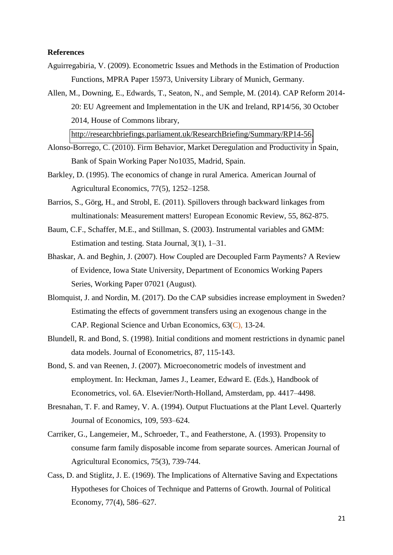#### **References**

- Aguirregabiria, V. (2009). Econometric Issues and Methods in the Estimation of Production Functions, MPRA Paper 15973, University Library of Munich, Germany.
- Allen, M., Downing, E., Edwards, T., Seaton, N., and Semple, M. (2014). CAP Reform 2014- 20: EU Agreement and Implementation in the UK and Ireland, RP14/56, 30 October 2014, House of Commons library,

[http://researchbriefings.parliament.uk/ResearchBriefing/Summary/RP14-56.](http://researchbriefings.parliament.uk/ResearchBriefing/Summary/RP14-56)

- Alonso-Borrego, C. (2010). Firm Behavior, Market Deregulation and Productivity in Spain, Bank of Spain Working Paper No1035, Madrid, Spain.
- Barkley, D. (1995). The economics of change in rural America. American Journal of Agricultural Economics, 77(5), 1252–1258.
- Barrios, S., Görg, H., and Strobl, E. (2011). Spillovers through backward linkages from multinationals: Measurement matters! European Economic Review, 55, 862-875.
- Baum, C.F., Schaffer, M.E., and Stillman, S. (2003). Instrumental variables and GMM: Estimation and testing. Stata Journal, 3(1), 1–31.
- Bhaskar, A. and Beghin, J. (2007). How Coupled are Decoupled Farm Payments? A Review of Evidence, Iowa State University, Department of Economics Working Papers Series, Working Paper 07021 (August).
- Blomquist, J. and Nordin, M. (2017). Do the CAP subsidies increase employment in Sweden? Estimating the effects of government transfers using an exogenous change in the CAP. Regional Science and Urban Economics, 63(C), 13-24.
- Blundell, R. and Bond, S. (1998). Initial conditions and moment restrictions in dynamic panel data models. Journal of Econometrics, 87, 115-143.
- Bond, S. and van Reenen, J. (2007). Microeconometric models of investment and employment. In: Heckman, James J., Leamer, Edward E. (Eds.), Handbook of Econometrics, vol. 6A. Elsevier/North-Holland, Amsterdam, pp. 4417–4498.
- Bresnahan, T. F. and Ramey, V. A. (1994). Output Fluctuations at the Plant Level. Quarterly Journal of Economics, 109, 593–624.
- Carriker, G., Langemeier, M., Schroeder, T., and Featherstone, A. (1993). Propensity to consume farm family disposable income from separate sources. American Journal of Agricultural Economics, 75(3), 739-744.
- Cass, D. and Stiglitz, J. E. (1969). The Implications of Alternative Saving and Expectations Hypotheses for Choices of Technique and Patterns of Growth. Journal of Political Economy, 77(4), 586–627.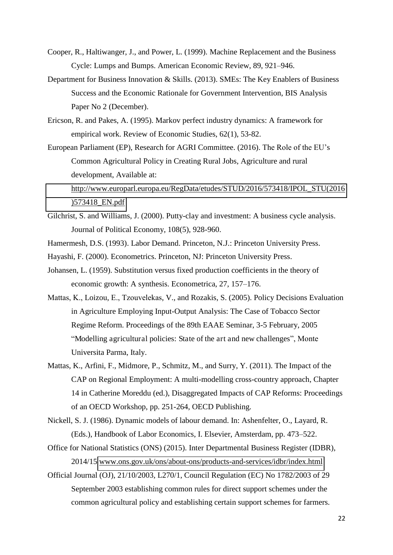- Cooper, R., Haltiwanger, J., and Power, L. (1999). Machine Replacement and the Business Cycle: Lumps and Bumps. American Economic Review, 89, 921–946.
- Department for Business Innovation & Skills. (2013). SMEs: The Key Enablers of Business Success and the Economic Rationale for Government Intervention, BIS Analysis Paper No 2 (December).
- Ericson, R. and Pakes, A. (1995). Markov perfect industry dynamics: A framework for empirical work. Review of Economic Studies, 62(1), 53-82.
- European Parliament (EP), Research for AGRI Committee. (2016). The Role of the EU's Common Agricultural Policy in Creating Rural Jobs, Agriculture and rural development, Available at: [http://www.europarl.europa.eu/RegData/etudes/STUD/2016/573418/IPOL\\_STU\(2016](http://www.europarl.europa.eu/RegData/etudes/STUD/2016/573418/IPOL_STU(2016)573418_EN.pdf)

[\)573418\\_EN.pdf](http://www.europarl.europa.eu/RegData/etudes/STUD/2016/573418/IPOL_STU(2016)573418_EN.pdf) 

- Gilchrist, S. and Williams, J. (2000). Putty-clay and investment: A business cycle analysis. Journal of Political Economy, 108(5), 928-960.
- Hamermesh, D.S. (1993). Labor Demand. Princeton, N.J.: Princeton University Press.
- Hayashi, F. (2000). Econometrics. Princeton, NJ: Princeton University Press.
- Johansen, L. (1959). Substitution versus fixed production coefficients in the theory of economic growth: A synthesis. Econometrica, 27, 157–176.
- Mattas, K., Loizou, E., Tzouvelekas, V., and Rozakis, S. (2005). Policy Decisions Evaluation in Agriculture Employing Input-Output Analysis: The Case of Tobacco Sector Regime Reform. Proceedings of the 89th EAAE Seminar, 3-5 February, 2005 "Modelling agricultural policies: State of the art and new challenges", Monte Universita Parma, Italy.
- Mattas, K., Arfini, F., Midmore, P., Schmitz, M., and Surry, Y. (2011). The Impact of the CAP on Regional Employment: A multi-modelling cross-country approach, Chapter 14 in Catherine Moreddu (ed.), Disaggregated Impacts of CAP Reforms: Proceedings of an OECD Workshop, pp. 251-264, OECD Publishing.
- Nickell, S. J. (1986). Dynamic models of labour demand. In: Ashenfelter, O., Layard, R. (Eds.), Handbook of Labor Economics, I. Elsevier, Amsterdam, pp. 473–522.
- Office for National Statistics (ONS) (2015). Inter Departmental Business Register (IDBR), 2014/15 [www.ons.gov.uk/ons/about-ons/products-and-services/idbr/index.html](http://www.ons.gov.uk/ons/about-ons/products-and-services/idbr/index.html)
- Official Journal (OJ), 21/10/2003, L270/1, Council Regulation (EC) No 1782/2003 of 29 September 2003 establishing common rules for direct support schemes under the common agricultural policy and establishing certain support schemes for farmers.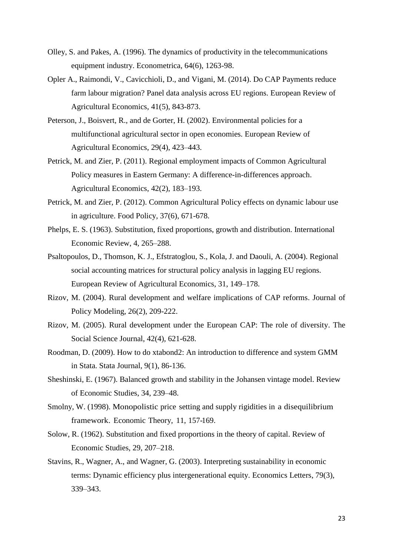- Olley, S. and Pakes, A. (1996). The dynamics of productivity in the telecommunications equipment industry. Econometrica, 64(6), 1263-98.
- Opler A., Raimondi, V., Cavicchioli, D., and Vigani, M. (2014). Do CAP Payments reduce farm labour migration? Panel data analysis across EU regions. European Review of Agricultural Economics, 41(5), 843-873.
- Peterson, J., Boisvert, R., and de Gorter, H. (2002). Environmental policies for a multifunctional agricultural sector in open economies. European Review of Agricultural Economics, 29(4), 423–443.
- Petrick, M. and Zier, P. (2011). Regional employment impacts of Common Agricultural Policy measures in Eastern Germany: A difference-in-differences approach. Agricultural Economics, 42(2), 183–193.
- Petrick, M. and Zier, P. (2012). Common Agricultural Policy effects on dynamic labour use in agriculture. Food Policy, 37(6), 671-678.
- Phelps, E. S. (1963). Substitution, fixed proportions, growth and distribution. International Economic Review, 4, 265–288.
- Psaltopoulos, D., Thomson, K. J., Efstratoglou, S., Kola, J. and Daouli, A. (2004). Regional social accounting matrices for structural policy analysis in lagging EU regions. European Review of Agricultural Economics, 31, 149–178.
- Rizov, M. (2004). Rural development and welfare implications of CAP reforms. Journal of Policy Modeling, 26(2), 209-222.
- Rizov, M. (2005). Rural development under the European CAP: The role of diversity. The Social Science Journal, 42(4), 621-628.
- Roodman, D. (2009). How to do xtabond2: An introduction to difference and system GMM in Stata. Stata Journal, 9(1), 86-136.
- Sheshinski, E. (1967). Balanced growth and stability in the Johansen vintage model. Review of Economic Studies, 34, 239–48.
- Smolny, W. (1998). Monopolistic price setting and supply rigidities in a disequilibrium framework. Economic Theory, 11, 157-169.
- Solow, R. (1962). Substitution and fixed proportions in the theory of capital. Review of Economic Studies, 29, 207–218.
- Stavins, R., Wagner, A., and Wagner, G. (2003). Interpreting sustainability in economic terms: Dynamic efficiency plus intergenerational equity. Economics Letters, 79(3), 339–343.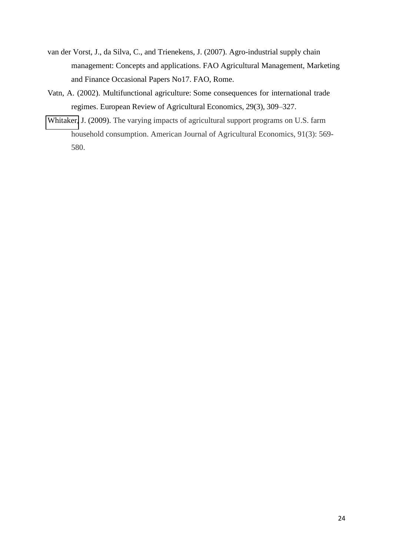- van der Vorst, J., da Silva, C., and Trienekens, J. (2007). Agro-industrial supply chain management: Concepts and applications. FAO Agricultural Management, Marketing and Finance Occasional Papers No17. FAO, Rome.
- Vatn, A. (2002). Multifunctional agriculture: Some consequences for international trade regimes. European Review of Agricultural Economics, 29(3), 309–327.
- [Whitaker,](javascript:;) J. (2009). The varying impacts of agricultural support programs on U.S. farm household consumption. American Journal of Agricultural Economics, 91(3): 569- 580.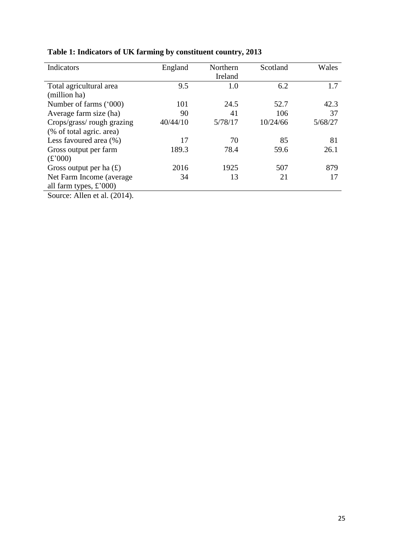| Indicators                      | England  | Northern | Scotland | Wales   |
|---------------------------------|----------|----------|----------|---------|
|                                 |          | Ireland  |          |         |
| Total agricultural area         | 9.5      | 1.0      | 6.2      | 1.7     |
| (million ha)                    |          |          |          |         |
| Number of farms ('000)          | 101      | 24.5     | 52.7     | 42.3    |
| Average farm size (ha)          | 90       | 41       | 106      | 37      |
| Crops/grass/rough grazing       | 40/44/10 | 5/78/17  | 10/24/66 | 5/68/27 |
| (% of total agric. area)        |          |          |          |         |
| Less favoured area (%)          | 17       | 70       | 85       | 81      |
| Gross output per farm           | 189.3    | 78.4     | 59.6     | 26.1    |
| (f'000)                         |          |          |          |         |
| Gross output per ha $(E)$       | 2016     | 1925     | 507      | 879     |
| Net Farm Income (average)       | 34       | 13       | 21       | 17      |
| all farm types, $\pounds$ '000) |          |          |          |         |
| Source: Allen et al. (2014).    |          |          |          |         |

**Table 1: Indicators of UK farming by constituent country, 2013**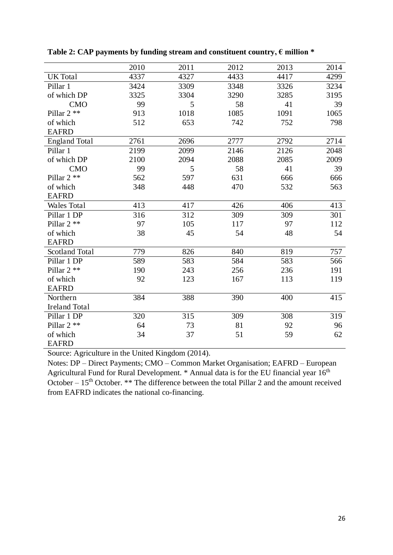|                       | 2010 | 2011 | 2012 | 2013 | 2014 |
|-----------------------|------|------|------|------|------|
| <b>UK</b> Total       | 4337 | 4327 | 4433 | 4417 | 4299 |
| Pillar 1              | 3424 | 3309 | 3348 | 3326 | 3234 |
| of which DP           | 3325 | 3304 | 3290 | 3285 | 3195 |
| <b>CMO</b>            | 99   | 5    | 58   | 41   | 39   |
| Pillar 2 **           | 913  | 1018 | 1085 | 1091 | 1065 |
| of which              | 512  | 653  | 742  | 752  | 798  |
| <b>EAFRD</b>          |      |      |      |      |      |
| <b>England Total</b>  | 2761 | 2696 | 2777 | 2792 | 2714 |
| Pillar 1              | 2199 | 2099 | 2146 | 2126 | 2048 |
| of which DP           | 2100 | 2094 | 2088 | 2085 | 2009 |
| <b>CMO</b>            | 99   | 5    | 58   | 41   | 39   |
| Pillar 2 **           | 562  | 597  | 631  | 666  | 666  |
| of which              | 348  | 448  | 470  | 532  | 563  |
| <b>EAFRD</b>          |      |      |      |      |      |
| <b>Wales Total</b>    | 413  | 417  | 426  | 406  | 413  |
| Pillar 1 DP           | 316  | 312  | 309  | 309  | 301  |
| Pillar 2 **           | 97   | 105  | 117  | 97   | 112  |
| of which              | 38   | 45   | 54   | 48   | 54   |
| <b>EAFRD</b>          |      |      |      |      |      |
| <b>Scotland Total</b> | 779  | 826  | 840  | 819  | 757  |
| Pillar 1 DP           | 589  | 583  | 584  | 583  | 566  |
| Pillar $2$ **         | 190  | 243  | 256  | 236  | 191  |
| of which              | 92   | 123  | 167  | 113  | 119  |
| <b>EAFRD</b>          |      |      |      |      |      |
| Northern              | 384  | 388  | 390  | 400  | 415  |
| <b>Ireland Total</b>  |      |      |      |      |      |
| Pillar 1 DP           | 320  | 315  | 309  | 308  | 319  |
| Pillar $2$ **         | 64   | 73   | 81   | 92   | 96   |
| of which              | 34   | 37   | 51   | 59   | 62   |
| <b>EAFRD</b>          |      |      |      |      |      |

Table 2: CAP payments by funding stream and constituent country,  $\epsilon$  million  $*$ 

Source: Agriculture in the United Kingdom (2014).

Notes: DP – Direct Payments; CMO – Common Market Organisation; EAFRD – European Agricultural Fund for Rural Development. \* Annual data is for the EU financial year 16<sup>th</sup> October –  $15<sup>th</sup>$  October. \*\* The difference between the total Pillar 2 and the amount received from EAFRD indicates the national co-financing.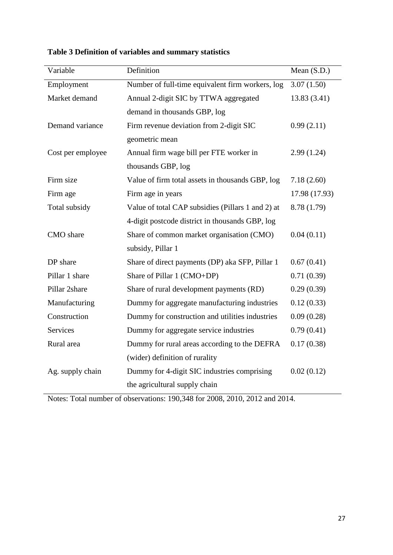| Variable          | Definition                                        | Mean $(S.D.)$ |
|-------------------|---------------------------------------------------|---------------|
| Employment        | Number of full-time equivalent firm workers, log  | 3.07(1.50)    |
| Market demand     | Annual 2-digit SIC by TTWA aggregated             | 13.83(3.41)   |
|                   | demand in thousands GBP, log                      |               |
| Demand variance   | Firm revenue deviation from 2-digit SIC           | 0.99(2.11)    |
|                   | geometric mean                                    |               |
| Cost per employee | Annual firm wage bill per FTE worker in           | 2.99(1.24)    |
|                   | thousands GBP, log                                |               |
| Firm size         | Value of firm total assets in thousands GBP, log  | 7.18(2.60)    |
| Firm age          | Firm age in years                                 | 17.98 (17.93) |
| Total subsidy     | Value of total CAP subsidies (Pillars 1 and 2) at | 8.78 (1.79)   |
|                   | 4-digit postcode district in thousands GBP, log   |               |
| CMO share         | Share of common market organisation (CMO)         | 0.04(0.11)    |
|                   | subsidy, Pillar 1                                 |               |
| DP share          | Share of direct payments (DP) aka SFP, Pillar 1   | 0.67(0.41)    |
| Pillar 1 share    | Share of Pillar 1 (CMO+DP)                        | 0.71(0.39)    |
| Pillar 2share     | Share of rural development payments (RD)          | 0.29(0.39)    |
| Manufacturing     | Dummy for aggregate manufacturing industries      | 0.12(0.33)    |
| Construction      | Dummy for construction and utilities industries   | 0.09(0.28)    |
| <b>Services</b>   | Dummy for aggregate service industries            | 0.79(0.41)    |
| Rural area        | Dummy for rural areas according to the DEFRA      | 0.17(0.38)    |
|                   | (wider) definition of rurality                    |               |
| Ag. supply chain  | Dummy for 4-digit SIC industries comprising       | 0.02(0.12)    |
|                   | the agricultural supply chain                     |               |

**Table 3 Definition of variables and summary statistics** 

Notes: Total number of observations: 190,348 for 2008, 2010, 2012 and 2014.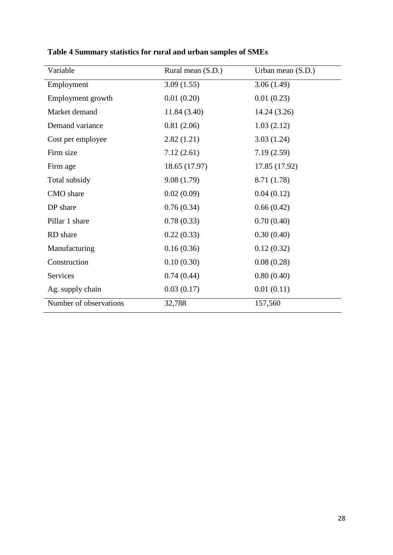| Variable               | Rural mean (S.D.) | Urban mean (S.D.) |
|------------------------|-------------------|-------------------|
| Employment             | 3.09(1.55)        | 3.06(1.49)        |
| Employment growth      | 0.01(0.20)        | 0.01(0.23)        |
| Market demand          | 11.84(3.40)       | 14.24(3.26)       |
| Demand variance        | 0.81(2.06)        | 1.03(2.12)        |
| Cost per employee      | 2.82(1.21)        | 3.03(1.24)        |
| Firm size              | 7.12(2.61)        | 7.19(2.59)        |
| Firm age               | 18.65 (17.97)     | 17.85 (17.92)     |
| Total subsidy          | 9.08(1.79)        | 8.71 (1.78)       |
| CMO share              | 0.02(0.09)        | 0.04(0.12)        |
| DP share               | 0.76(0.34)        | 0.66(0.42)        |
| Pillar 1 share         | 0.78(0.33)        | 0.70(0.40)        |
| RD share               | 0.22(0.33)        | 0.30(0.40)        |
| Manufacturing          | 0.16(0.36)        | 0.12(0.32)        |
| Construction           | 0.10(0.30)        | 0.08(0.28)        |
| Services               | 0.74(0.44)        | 0.80(0.40)        |
| Ag. supply chain       | 0.03(0.17)        | 0.01(0.11)        |
| Number of observations | 32,788            | 157,560           |

**Table 4 Summary statistics for rural and urban samples of SMEs**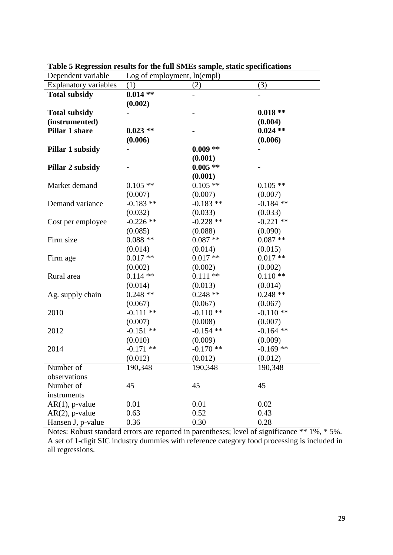| Dependent variable           | Log of employment, ln(empl) |             |             |  |
|------------------------------|-----------------------------|-------------|-------------|--|
| <b>Explanatory variables</b> | (1)                         | (2)         | (3)         |  |
| <b>Total subsidy</b>         | $0.014**$                   |             |             |  |
|                              | (0.002)                     |             |             |  |
| <b>Total subsidy</b>         |                             |             | $0.018**$   |  |
| (instrumented)               |                             |             | (0.004)     |  |
| Pillar 1 share               | $0.023**$                   |             | $0.024$ **  |  |
|                              | (0.006)                     |             | (0.006)     |  |
| Pillar 1 subsidy             |                             | $0.009**$   |             |  |
|                              |                             | (0.001)     |             |  |
| Pillar 2 subsidy             |                             | $0.005**$   |             |  |
|                              |                             | (0.001)     |             |  |
| Market demand                | $0.105**$                   | $0.105**$   | $0.105**$   |  |
|                              | (0.007)                     | (0.007)     | (0.007)     |  |
| Demand variance              | $-0.183$ **                 | $-0.183**$  | $-0.184$ ** |  |
|                              | (0.032)                     | (0.033)     | (0.033)     |  |
| Cost per employee            | $-0.226$ **                 | $-0.228$ ** | $-0.221$ ** |  |
|                              | (0.085)                     | (0.088)     | (0.090)     |  |
| Firm size                    | $0.088**$                   | $0.087**$   | $0.087**$   |  |
|                              | (0.014)                     | (0.014)     | (0.015)     |  |
| Firm age                     | $0.017**$                   | $0.017**$   | $0.017**$   |  |
|                              | (0.002)                     | (0.002)     | (0.002)     |  |
| Rural area                   | $0.114$ **                  | $0.111**$   | $0.110**$   |  |
|                              | (0.014)                     | (0.013)     | (0.014)     |  |
| Ag. supply chain             | $0.248**$                   | $0.248**$   | $0.248**$   |  |
|                              | (0.067)                     | (0.067)     | (0.067)     |  |
| 2010                         | $-0.111**$                  | $-0.110**$  | $-0.110**$  |  |
|                              | (0.007)                     | (0.008)     | (0.007)     |  |
| 2012                         | $-0.151$ **                 | $-0.154$ ** | $-0.164$ ** |  |
|                              | (0.010)                     | (0.009)     | (0.009)     |  |
| 2014                         | $-0.171$ **                 | $-0.170**$  | $-0.169$ ** |  |
|                              | (0.012)                     | (0.012)     | (0.012)     |  |
| Number of                    | 190,348                     | 190,348     | 190,348     |  |
| observations                 |                             |             |             |  |
| Number of                    | 45                          | 45          | 45          |  |
| instruments                  |                             |             |             |  |
| $AR(1)$ , p-value            | 0.01                        | 0.01        | 0.02        |  |
| $AR(2)$ , p-value            | 0.63                        | 0.52        | 0.43        |  |
| Hansen J, p-value            | 0.36                        | 0.30        | 0.28        |  |

**Table 5 Regression results for the full SMEs sample, static specifications** 

Notes: Robust standard errors are reported in parentheses; level of significance \*\* 1%, \* 5%. A set of 1-digit SIC industry dummies with reference category food processing is included in all regressions.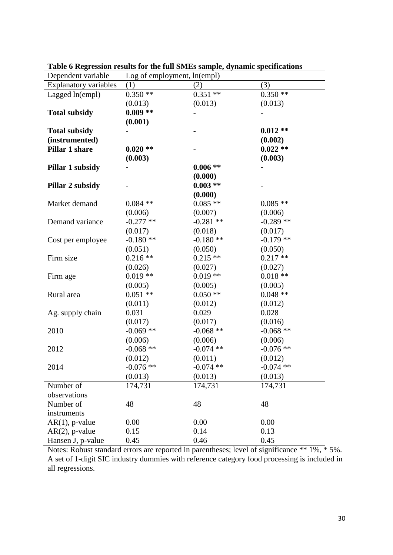| Dependent variable           | Log of employment, ln(empl) |             |             |  |
|------------------------------|-----------------------------|-------------|-------------|--|
| <b>Explanatory variables</b> | (1)                         | (2)         | (3)         |  |
| Lagged ln(empl)              | $0.350**$                   | $0.351**$   | $0.350**$   |  |
|                              | (0.013)                     | (0.013)     | (0.013)     |  |
| <b>Total subsidy</b>         | $0.009**$                   |             |             |  |
|                              | (0.001)                     |             |             |  |
| <b>Total subsidy</b>         |                             |             | $0.012**$   |  |
| (instrumented)               |                             |             | (0.002)     |  |
| Pillar 1 share               | $0.020**$                   |             | $0.022**$   |  |
|                              | (0.003)                     |             | (0.003)     |  |
| Pillar 1 subsidy             |                             | $0.006**$   |             |  |
|                              |                             | (0.000)     |             |  |
| <b>Pillar 2 subsidy</b>      |                             | $0.003**$   |             |  |
|                              |                             | (0.000)     |             |  |
| Market demand                | $0.084$ **                  | $0.085**$   | $0.085**$   |  |
|                              | (0.006)                     | (0.007)     | (0.006)     |  |
| Demand variance              | $-0.277**$                  | $-0.281$ ** | $-0.289**$  |  |
|                              | (0.017)                     | (0.018)     | (0.017)     |  |
| Cost per employee            | $-0.180**$                  | $-0.180**$  | $-0.179$ ** |  |
|                              | (0.051)                     | (0.050)     | (0.050)     |  |
| Firm size                    | $0.216**$                   | $0.215**$   | $0.217**$   |  |
|                              | (0.026)                     | (0.027)     | (0.027)     |  |
| Firm age                     | $0.019**$                   | $0.019**$   | $0.018**$   |  |
|                              | (0.005)                     | (0.005)     | (0.005)     |  |
| Rural area                   | $0.051**$                   | $0.050**$   | $0.048**$   |  |
|                              | (0.011)                     | (0.012)     | (0.012)     |  |
| Ag. supply chain             | 0.031                       | 0.029       | 0.028       |  |
|                              | (0.017)                     | (0.017)     | (0.016)     |  |
| 2010                         | $-0.069$ **                 | $-0.068**$  | $-0.068$ ** |  |
|                              | (0.006)                     | (0.006)     | (0.006)     |  |
| 2012                         | $-0.068$ **                 | $-0.074$ ** | $-0.076$ ** |  |
|                              | (0.012)                     | (0.011)     | (0.012)     |  |
| 2014                         | $-0.076$ **                 | $-0.074$ ** | $-0.074$ ** |  |
|                              | (0.013)                     | (0.013)     | (0.013)     |  |
| Number of                    | 174,731                     | 174,731     | 174,731     |  |
| observations                 |                             |             |             |  |
| Number of                    | 48                          | 48          | 48          |  |
| instruments                  |                             |             |             |  |
| $AR(1)$ , p-value            | 0.00                        | 0.00        | 0.00        |  |
| $AR(2)$ , p-value            | 0.15                        | 0.14        | 0.13        |  |
| Hansen J, p-value            | 0.45                        | 0.46        | 0.45        |  |

**Table 6 Regression results for the full SMEs sample, dynamic specifications** 

Notes: Robust standard errors are reported in parentheses; level of significance \*\* 1%, \* 5%. A set of 1-digit SIC industry dummies with reference category food processing is included in all regressions.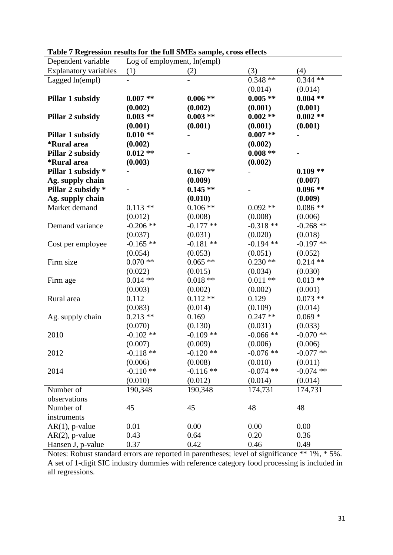| Dependent variable           | Log of employment, ln(empl) |             |             |             |  |
|------------------------------|-----------------------------|-------------|-------------|-------------|--|
| <b>Explanatory variables</b> | (1)                         | (2)         | (3)         | (4)         |  |
| Lagged ln(empl)              |                             |             | $0.348**$   | $0.344**$   |  |
|                              |                             |             | (0.014)     | (0.014)     |  |
| Pillar 1 subsidy             | $0.007**$                   | $0.006**$   | $0.005**$   | $0.004**$   |  |
|                              | (0.002)                     | (0.002)     | (0.001)     | (0.001)     |  |
| Pillar 2 subsidy             | $0.003**$                   | $0.003**$   | $0.002**$   | $0.002**$   |  |
|                              | (0.001)                     | (0.001)     | (0.001)     | (0.001)     |  |
| Pillar 1 subsidy             | $0.010**$                   |             | $0.007**$   |             |  |
| <i><b>*Rural area</b></i>    | (0.002)                     |             | (0.002)     |             |  |
| Pillar 2 subsidy             | $0.012**$                   |             | $0.008**$   |             |  |
| <i><b>*Rural area</b></i>    | (0.003)                     |             | (0.002)     |             |  |
| Pillar 1 subsidy *           |                             | $0.167**$   |             | $0.109**$   |  |
| Ag. supply chain             |                             | (0.009)     |             | (0.007)     |  |
| Pillar 2 subsidy *           |                             | $0.145**$   |             | $0.096**$   |  |
| Ag. supply chain             |                             | (0.010)     |             | (0.009)     |  |
| Market demand                | $0.113**$                   | $0.106**$   | $0.092**$   | $0.086**$   |  |
|                              | (0.012)                     | (0.008)     | (0.008)     | (0.006)     |  |
| Demand variance              | $-0.206$ **                 | $-0.177$ ** | $-0.318**$  | $-0.268$ ** |  |
|                              | (0.037)                     | (0.031)     | (0.020)     | (0.018)     |  |
| Cost per employee            | $-0.165$ **                 | $-0.181$ ** | $-0.194$ ** | $-0.197**$  |  |
|                              | (0.054)                     | (0.053)     | (0.051)     | (0.052)     |  |
| Firm size                    | $0.070**$                   | $0.065**$   | $0.230**$   | $0.214**$   |  |
|                              | (0.022)                     | (0.015)     | (0.034)     | (0.030)     |  |
| Firm age                     | $0.014**$                   | $0.018**$   | $0.011**$   | $0.013**$   |  |
|                              | (0.003)                     | (0.002)     | (0.002)     | (0.001)     |  |
| Rural area                   | 0.112                       | $0.112**$   | 0.129       | $0.073**$   |  |
|                              | (0.083)                     | (0.014)     | (0.109)     | (0.014)     |  |
| Ag. supply chain             | $0.213**$                   | 0.169       | $0.247**$   | $0.069 *$   |  |
|                              | (0.070)                     | (0.130)     | (0.031)     | (0.033)     |  |
| 2010                         | $-0.102**$                  | $-0.109$ ** | $-0.066$ ** | $-0.070$ ** |  |
|                              | (0.007)                     | (0.009)     | (0.006)     | (0.006)     |  |
| 2012                         | $-0.118**$                  | $-0.120$ ** | $-0.076$ ** | $-0.077**$  |  |
|                              | (0.006)                     | (0.008)     | (0.010)     | (0.011)     |  |
| 2014                         | $-0.110**$                  | $-0.116$ ** | $-0.074$ ** | $-0.074$ ** |  |
|                              | (0.010)                     | (0.012)     | (0.014)     | (0.014)     |  |
| Number of                    | 190,348                     | 190,348     | 174,731     | 174,731     |  |
| observations                 |                             |             |             |             |  |
| Number of                    | 45                          | 45          | 48          | 48          |  |
| instruments                  |                             |             |             |             |  |
| $AR(1)$ , p-value            | 0.01                        | 0.00        | 0.00        | 0.00        |  |
| $AR(2)$ , p-value            | 0.43                        | 0.64        | 0.20        | 0.36        |  |
| Hansen J, p-value            | 0.37                        | 0.42        | 0.46        | 0.49        |  |

|  |  |  | Table 7 Regression results for the full SMEs sample, cross effects |
|--|--|--|--------------------------------------------------------------------|
|  |  |  |                                                                    |

Notes: Robust standard errors are reported in parentheses; level of significance \*\* 1%, \* 5%. A set of 1-digit SIC industry dummies with reference category food processing is included in all regressions.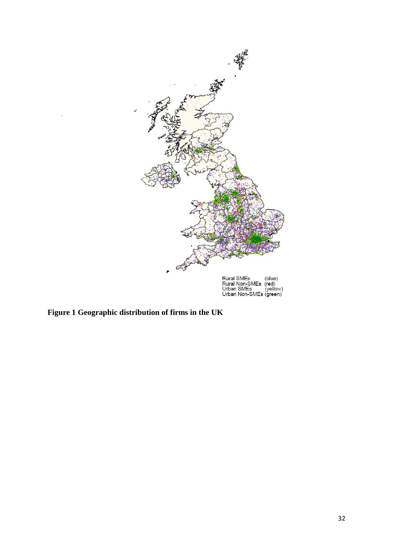

**Figure 1 Geographic distribution of firms in the UK**